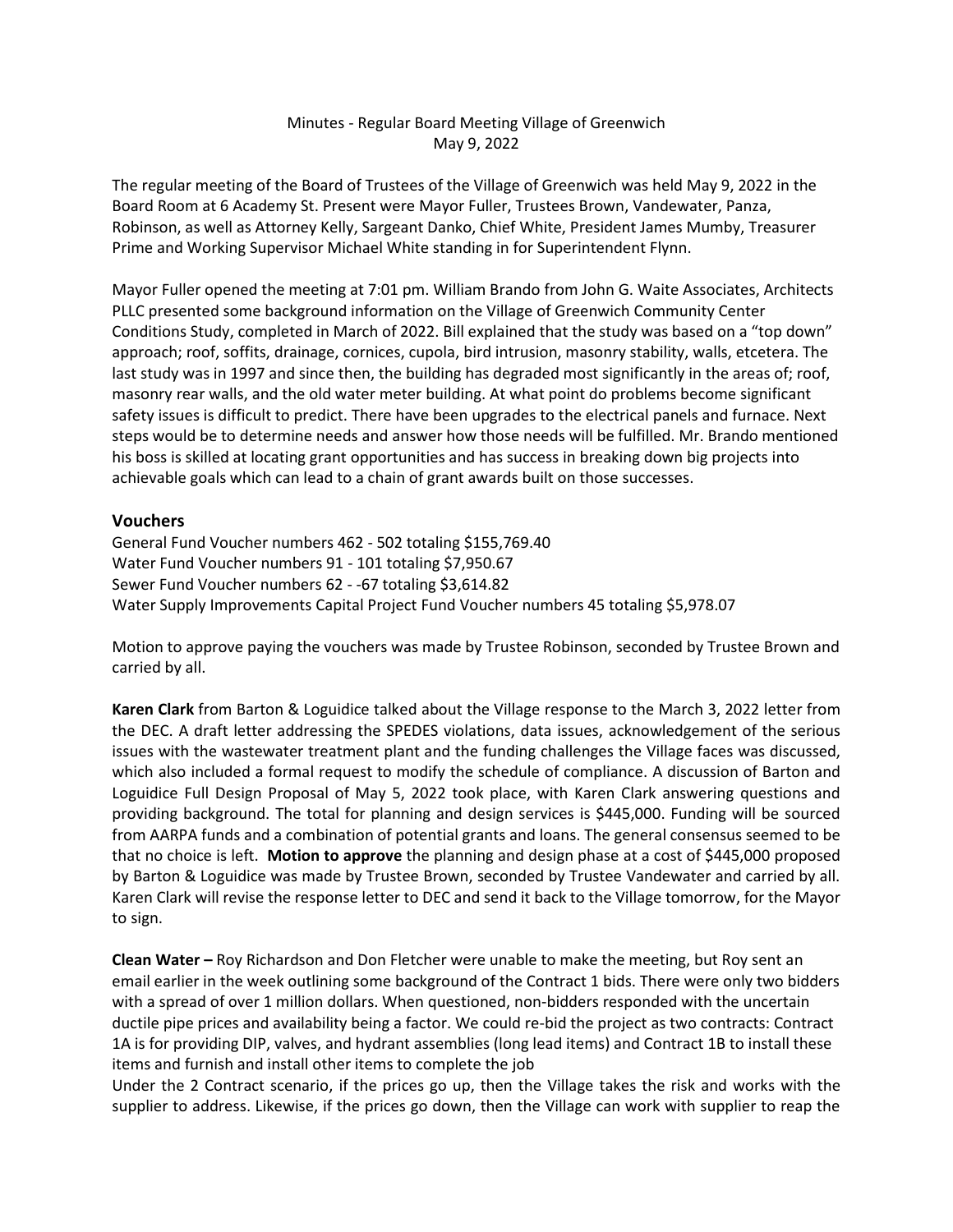# Minutes - Regular Board Meeting Village of Greenwich May 9, 2022

The regular meeting of the Board of Trustees of the Village of Greenwich was held May 9, 2022 in the Board Room at 6 Academy St. Present were Mayor Fuller, Trustees Brown, Vandewater, Panza, Robinson, as well as Attorney Kelly, Sargeant Danko, Chief White, President James Mumby, Treasurer Prime and Working Supervisor Michael White standing in for Superintendent Flynn.

Mayor Fuller opened the meeting at 7:01 pm. William Brando from John G. Waite Associates, Architects PLLC presented some background information on the Village of Greenwich Community Center Conditions Study, completed in March of 2022. Bill explained that the study was based on a "top down" approach; roof, soffits, drainage, cornices, cupola, bird intrusion, masonry stability, walls, etcetera. The last study was in 1997 and since then, the building has degraded most significantly in the areas of; roof, masonry rear walls, and the old water meter building. At what point do problems become significant safety issues is difficult to predict. There have been upgrades to the electrical panels and furnace. Next steps would be to determine needs and answer how those needs will be fulfilled. Mr. Brando mentioned his boss is skilled at locating grant opportunities and has success in breaking down big projects into achievable goals which can lead to a chain of grant awards built on those successes.

## **Vouchers**

General Fund Voucher numbers 462 - 502 totaling \$155,769.40 Water Fund Voucher numbers 91 - 101 totaling \$7,950.67 Sewer Fund Voucher numbers 62 - -67 totaling \$3,614.82 Water Supply Improvements Capital Project Fund Voucher numbers 45 totaling \$5,978.07

Motion to approve paying the vouchers was made by Trustee Robinson, seconded by Trustee Brown and carried by all.

**Karen Clark** from Barton & Loguidice talked about the Village response to the March 3, 2022 letter from the DEC. A draft letter addressing the SPEDES violations, data issues, acknowledgement of the serious issues with the wastewater treatment plant and the funding challenges the Village faces was discussed, which also included a formal request to modify the schedule of compliance. A discussion of Barton and Loguidice Full Design Proposal of May 5, 2022 took place, with Karen Clark answering questions and providing background. The total for planning and design services is \$445,000. Funding will be sourced from AARPA funds and a combination of potential grants and loans. The general consensus seemed to be that no choice is left. **Motion to approve** the planning and design phase at a cost of \$445,000 proposed by Barton & Loguidice was made by Trustee Brown, seconded by Trustee Vandewater and carried by all. Karen Clark will revise the response letter to DEC and send it back to the Village tomorrow, for the Mayor to sign.

**Clean Water –** Roy Richardson and Don Fletcher were unable to make the meeting, but Roy sent an email earlier in the week outlining some background of the Contract 1 bids. There were only two bidders with a spread of over 1 million dollars. When questioned, non-bidders responded with the uncertain ductile pipe prices and availability being a factor. We could re-bid the project as two contracts: Contract 1A is for providing DIP, valves, and hydrant assemblies (long lead items) and Contract 1B to install these items and furnish and install other items to complete the job

Under the 2 Contract scenario, if the prices go up, then the Village takes the risk and works with the supplier to address. Likewise, if the prices go down, then the Village can work with supplier to reap the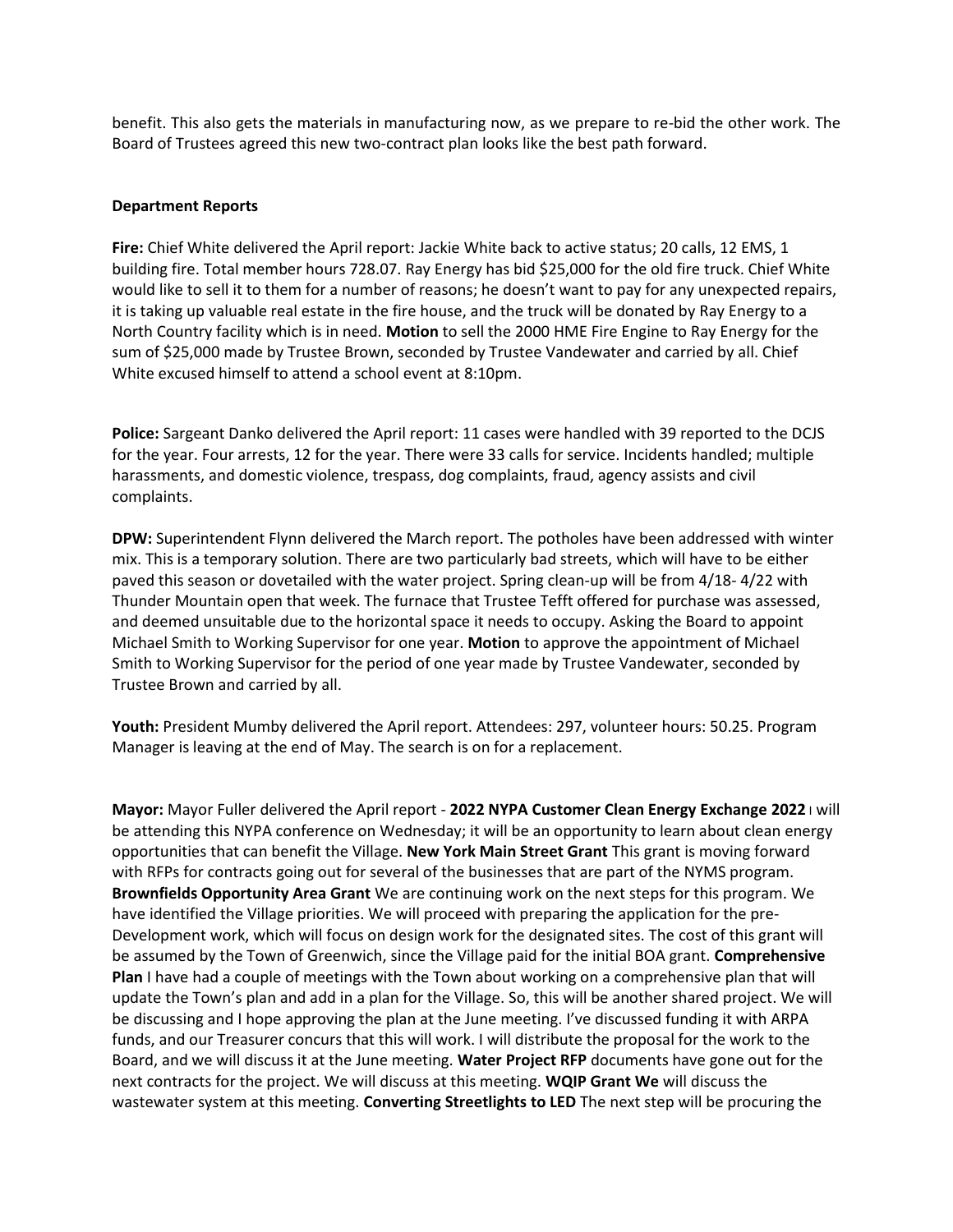benefit. This also gets the materials in manufacturing now, as we prepare to re-bid the other work. The Board of Trustees agreed this new two-contract plan looks like the best path forward.

#### **Department Reports**

**Fire:** Chief White delivered the April report: Jackie White back to active status; 20 calls, 12 EMS, 1 building fire. Total member hours 728.07. Ray Energy has bid \$25,000 for the old fire truck. Chief White would like to sell it to them for a number of reasons; he doesn't want to pay for any unexpected repairs, it is taking up valuable real estate in the fire house, and the truck will be donated by Ray Energy to a North Country facility which is in need. **Motion** to sell the 2000 HME Fire Engine to Ray Energy for the sum of \$25,000 made by Trustee Brown, seconded by Trustee Vandewater and carried by all. Chief White excused himself to attend a school event at 8:10pm.

**Police:** Sargeant Danko delivered the April report: 11 cases were handled with 39 reported to the DCJS for the year. Four arrests, 12 for the year. There were 33 calls for service. Incidents handled; multiple harassments, and domestic violence, trespass, dog complaints, fraud, agency assists and civil complaints.

**DPW:** Superintendent Flynn delivered the March report. The potholes have been addressed with winter mix. This is a temporary solution. There are two particularly bad streets, which will have to be either paved this season or dovetailed with the water project. Spring clean-up will be from 4/18- 4/22 with Thunder Mountain open that week. The furnace that Trustee Tefft offered for purchase was assessed, and deemed unsuitable due to the horizontal space it needs to occupy. Asking the Board to appoint Michael Smith to Working Supervisor for one year. **Motion** to approve the appointment of Michael Smith to Working Supervisor for the period of one year made by Trustee Vandewater, seconded by Trustee Brown and carried by all.

**Youth:** President Mumby delivered the April report. Attendees: 297, volunteer hours: 50.25. Program Manager is leaving at the end of May. The search is on for a replacement.

**Mayor:** Mayor Fuller delivered the April report - **2022 NYPA Customer Clean Energy Exchange 2022** I will be attending this NYPA conference on Wednesday; it will be an opportunity to learn about clean energy opportunities that can benefit the Village. **New York Main Street Grant** This grant is moving forward with RFPs for contracts going out for several of the businesses that are part of the NYMS program. **Brownfields Opportunity Area Grant** We are continuing work on the next steps for this program. We have identified the Village priorities. We will proceed with preparing the application for the pre-Development work, which will focus on design work for the designated sites. The cost of this grant will be assumed by the Town of Greenwich, since the Village paid for the initial BOA grant. **Comprehensive Plan** I have had a couple of meetings with the Town about working on a comprehensive plan that will update the Town's plan and add in a plan for the Village. So, this will be another shared project. We will be discussing and I hope approving the plan at the June meeting. I've discussed funding it with ARPA funds, and our Treasurer concurs that this will work. I will distribute the proposal for the work to the Board, and we will discuss it at the June meeting. **Water Project RFP** documents have gone out for the next contracts for the project. We will discuss at this meeting. **WQIP Grant We** will discuss the wastewater system at this meeting. **Converting Streetlights to LED** The next step will be procuring the